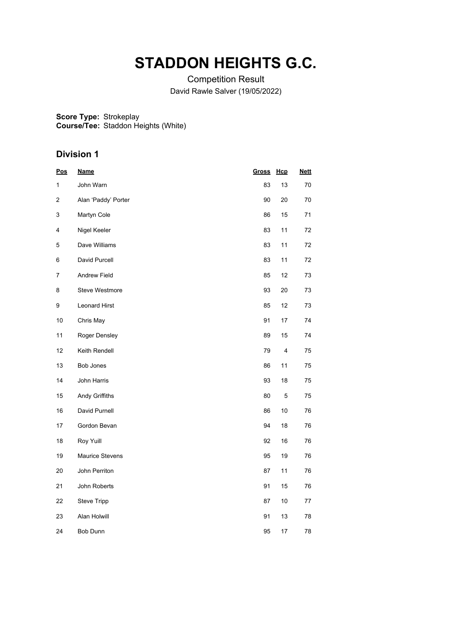# **STADDON HEIGHTS G.C.**

Competition Result David Rawle Salver (19/05/2022)

**Score Type: Course/Tee:** Strokeplay Staddon Heights (White)

| <u>Pos</u> | <b>Name</b>            | <b>Gross</b> | Hcp | <b>Nett</b> |
|------------|------------------------|--------------|-----|-------------|
| 1          | John Warn              | 83           | 13  | 70          |
| 2          | Alan 'Paddy' Porter    | 90           | 20  | 70          |
| 3          | Martyn Cole            | 86           | 15  | 71          |
| 4          | Nigel Keeler           | 83           | 11  | 72          |
| 5          | Dave Williams          | 83           | 11  | 72          |
| 6          | David Purcell          | 83           | 11  | 72          |
| 7          | <b>Andrew Field</b>    | 85           | 12  | 73          |
| 8          | <b>Steve Westmore</b>  | 93           | 20  | 73          |
| 9          | <b>Leonard Hirst</b>   | 85           | 12  | 73          |
| 10         | Chris May              | 91           | 17  | 74          |
| 11         | Roger Densley          | 89           | 15  | 74          |
| 12         | Keith Rendell          | 79           | 4   | 75          |
| 13         | Bob Jones              | 86           | 11  | 75          |
| 14         | John Harris            | 93           | 18  | 75          |
| 15         | Andy Griffiths         | 80           | 5   | 75          |
| 16         | David Purnell          | 86           | 10  | 76          |
| 17         | Gordon Bevan           | 94           | 18  | 76          |
| 18         | Roy Yuill              | 92           | 16  | 76          |
| 19         | <b>Maurice Stevens</b> | 95           | 19  | 76          |
| 20         | John Perriton          | 87           | 11  | 76          |
| 21         | John Roberts           | 91           | 15  | 76          |
| 22         | <b>Steve Tripp</b>     | 87           | 10  | 77          |
| 23         | Alan Holwill           | 91           | 13  | 78          |
| 24         | <b>Bob Dunn</b>        | 95           | 17  | 78          |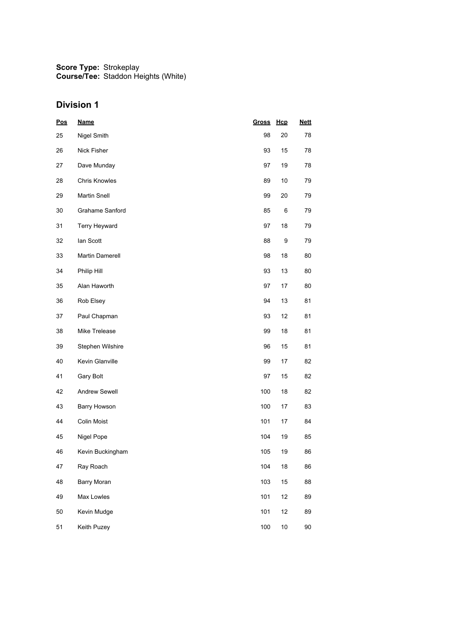| <b>Pos</b> | <b>Name</b>          | Gross | Hcp    | <b>Nett</b> |
|------------|----------------------|-------|--------|-------------|
| 25         | Nigel Smith          | 98    | 20     | 78          |
| 26         | Nick Fisher          | 93    | 15     | 78          |
| 27         | Dave Munday          | 97    | 19     | 78          |
| 28         | <b>Chris Knowles</b> | 89    | 10     | 79          |
| 29         | <b>Martin Snell</b>  | 99    | 20     | 79          |
| 30         | Grahame Sanford      | 85    | 6      | 79          |
| 31         | Terry Heyward        | 97    | 18     | 79          |
| 32         | lan Scott            | 88    | 9      | 79          |
| 33         | Martin Damerell      | 98    | 18     | 80          |
| 34         | Philip Hill          | 93    | 13     | 80          |
| 35         | Alan Haworth         | 97    | 17     | 80          |
| 36         | Rob Elsey            | 94    | 13     | 81          |
| 37         | Paul Chapman         | 93    | 12     | 81          |
| 38         | Mike Trelease        | 99    | 18     | 81          |
| 39         | Stephen Wilshire     | 96    | 15     | 81          |
| 40         | Kevin Glanville      | 99    | 17     | 82          |
| 41         | Gary Bolt            | 97    | 15     | 82          |
| 42         | <b>Andrew Sewell</b> | 100   | 18     | 82          |
| 43         | Barry Howson         | 100   | 17     | 83          |
| 44         | <b>Colin Moist</b>   | 101   | 17     | 84          |
| 45         | Nigel Pope           | 104   | 19     | 85          |
| 46         | Kevin Buckingham     | 105   | 19     | 86          |
| 47         | Ray Roach            | 104   | $18$   | 86          |
| 48         | Barry Moran          | 103   | 15     | 88          |
| 49         | Max Lowles           | 101   | 12     | 89          |
| 50         | Kevin Mudge          | 101   | 12     | 89          |
| 51         | Keith Puzey          | 100   | $10\,$ | 90          |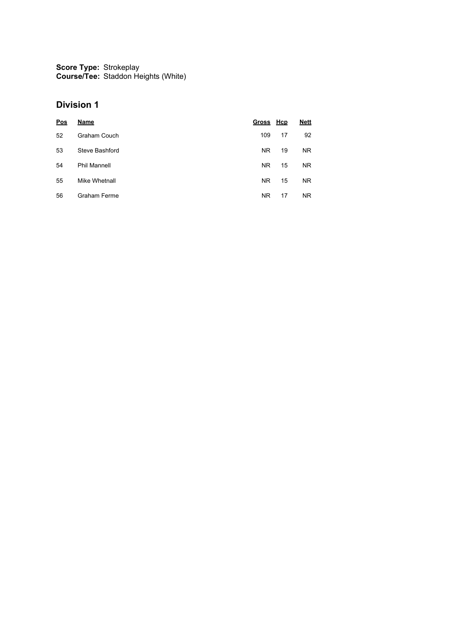| Pos | Name                | Gross Hcp |    | <b>Nett</b> |
|-----|---------------------|-----------|----|-------------|
| 52  | Graham Couch        | 109       | 17 | 92          |
| 53  | Steve Bashford      | NR.       | 19 | NR.         |
| 54  | <b>Phil Mannell</b> | <b>NR</b> | 15 | NR.         |
| 55  | Mike Whetnall       | <b>NR</b> | 15 | NR.         |
| 56  | <b>Graham Ferme</b> | <b>NR</b> | 17 | NR.         |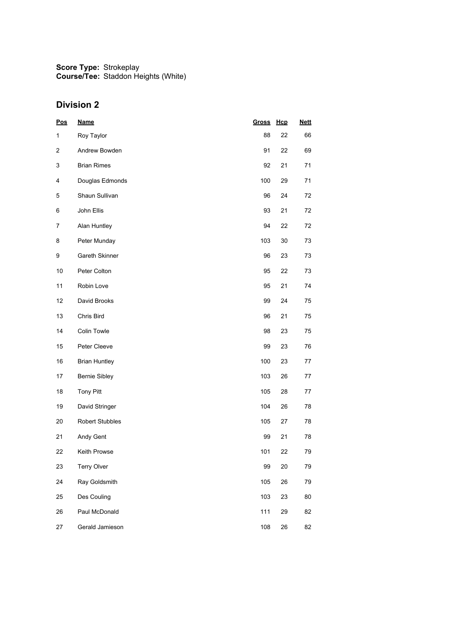| Pos          | <b>Name</b>            | Gross | Hcp    | <b>Nett</b> |
|--------------|------------------------|-------|--------|-------------|
| $\mathbf{1}$ | Roy Taylor             | 88    | 22     | 66          |
| 2            | Andrew Bowden          | 91    | 22     | 69          |
| 3            | <b>Brian Rimes</b>     | 92    | 21     | 71          |
| 4            | Douglas Edmonds        | 100   | 29     | 71          |
| 5            | Shaun Sullivan         | 96    | 24     | 72          |
| 6            | John Ellis             | 93    | 21     | 72          |
| 7            | Alan Huntley           | 94    | 22     | 72          |
| 8            | Peter Munday           | 103   | 30     | 73          |
| 9            | Gareth Skinner         | 96    | 23     | 73          |
| 10           | Peter Colton           | 95    | 22     | 73          |
| 11           | Robin Love             | 95    | 21     | 74          |
| 12           | David Brooks           | 99    | 24     | 75          |
| 13           | Chris Bird             | 96    | 21     | 75          |
| 14           | Colin Towle            | 98    | 23     | 75          |
| 15           | Peter Cleeve           | 99    | 23     | 76          |
| 16           | <b>Brian Huntley</b>   | 100   | 23     | 77          |
| 17           | <b>Bernie Sibley</b>   | 103   | 26     | 77          |
| 18           | <b>Tony Pitt</b>       | 105   | 28     | 77          |
| 19           | David Stringer         | 104   | 26     | 78          |
| 20           | <b>Robert Stubbles</b> | 105   | 27     | 78          |
| 21           | Andy Gent              | 99    | 21     | 78          |
| 22           | <b>Keith Prowse</b>    | 101   | 22     | 79          |
| 23           | <b>Terry Olver</b>     | 99    | 20     | 79          |
| 24           | Ray Goldsmith          | 105   | $26\,$ | 79          |
| 25           | Des Couling            | 103   | 23     | 80          |
| 26           | Paul McDonald          | 111   | 29     | 82          |
| 27           | Gerald Jamieson        | 108   | 26     | 82          |